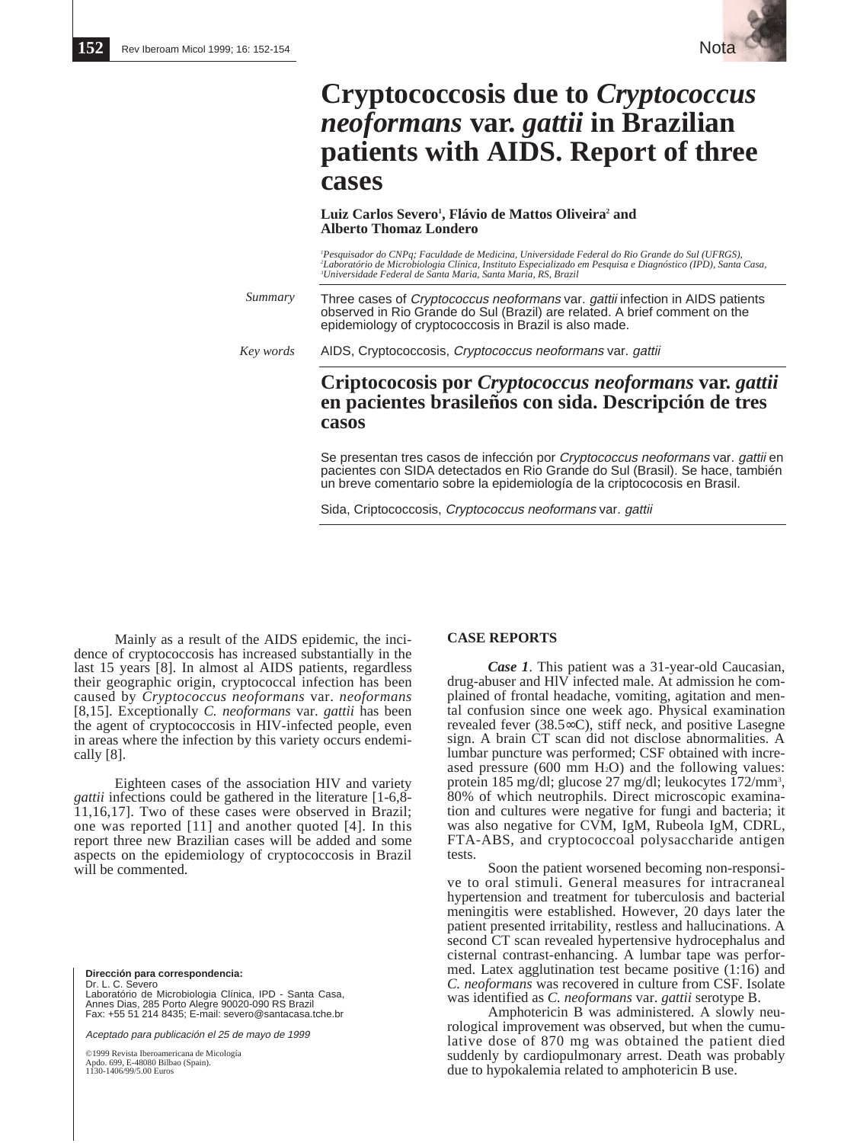

# **Cryptococcosis due to** *Cryptococcus neoformans* **var.** *gattii* **in Brazilian patients with AIDS. Report of three cases**

## **Luiz Carlos Severo1 , Flávio de Mattos Oliveira2 and Alberto Thomaz Londero**

*1 Pesquisador do CNPq; Faculdade de Medicina, Universidade Federal do Rio Grande do Sul (UFRGS), 2 Laboratório de Microbiologia Clínica, Instituto Especializado em Pesquisa e Diagnóstico (IPD), Santa Casa, 3 Universidade Federal de Santa Maria, Santa Maria, RS, Brazil*

Three cases of *Cryptococcus neoformans* var. *gattii* infection in AIDS patients observed in Rio Grande do Sul (Brazil) are related. A brief comment on the epidemiology of cryptococcosis in Brazil is also made. *Summary*

AIDS, Cryptococcosis, Cryptococcus neoformans var. gattii *Key words*

# **Criptococosis por** *Cryptococcus neoformans* **var.** *gattii* **en pacientes brasileños con sida. Descripción de tres casos**

Se presentan tres casos de infección por Cryptococcus neoformans var. gattii en pacientes con SIDA detectados en Rio Grande do Sul (Brasil). Se hace, también un breve comentario sobre la epidemiología de la criptococosis en Brasil.

Sida, Criptococcosis, Cryptococcus neoformans var. gattii

Mainly as a result of the AIDS epidemic, the incidence of cryptococcosis has increased substantially in the last 15 years [8]. In almost al AIDS patients, regardless their geographic origin, cryptococcal infection has been caused by *Cryptococcus neoformans* var. *neoformans* [8,15]. Exceptionally *C. neoformans* var. *gattii* has been the agent of cryptococcosis in HIV-infected people, even in areas where the infection by this variety occurs endemically [8].

Eighteen cases of the association HIV and variety *gattii* infections could be gathered in the literature [1-6,8- 11,16,17]. Two of these cases were observed in Brazil; one was reported [11] and another quoted [4]. In this report three new Brazilian cases will be added and some aspects on the epidemiology of cryptococcosis in Brazil will be commented.

**Dirección para correspondencia:**  Dr. L. C. Severo Laboratório de Microbiologia Clínica, IPD - Santa Casa, Annes Dias, 285 Porto Alegre 90020-090 RS Brazil Fax: +55 51 214 8435; E-mail: severo@santacasa.tche.br

Aceptado para publicación el 25 de mayo de 1999

©1999 Revista Iberoamericana de Micología Apdo. 699, E-48080 Bilbao (Spain). 1130-1406/99/5.00 Euros

# **CASE REPORTS**

*Case 1*. This patient was a 31-year-old Caucasian, drug-abuser and HlV infected male. At admission he complained of frontal headache, vomiting, agitation and mental confusion since one week ago. Physical examination revealed fever (38.5∞C), stiff neck, and positive Lasegne sign. A brain CT scan did not disclose abnormalities. A lumbar puncture was performed; CSF obtained with increased pressure  $(600 \text{ mm H}_2O)$  and the following values: protein 185 mg/dl; glucose 27 mg/dl; leukocytes 172/mm<sup>3</sup>, 80% of which neutrophils. Direct microscopic examination and cultures were negative for fungi and bacteria; it was also negative for CVM, IgM, Rubeola IgM, CDRL, FTA-ABS, and cryptococcoal polysaccharide antigen tests.

Soon the patient worsened becoming non-responsive to oral stimuli. General measures for intracraneal hypertension and treatment for tuberculosis and bacterial meningitis were established. However, 20 days later the patient presented irritability, restless and hallucinations. A second CT scan revealed hypertensive hydrocephalus and cisternal contrast-enhancing. A lumbar tape was performed. Latex agglutination test became positive (1:16) and *C. neoformans* was recovered in culture from CSF. Isolate was identified as *C. neoformans* var. *gattii* serotype B.

Amphotericin B was administered. A slowly neurological improvement was observed, but when the cumulative dose of 870 mg was obtained the patient died suddenly by cardiopulmonary arrest. Death was probably due to hypokalemia related to amphotericin B use.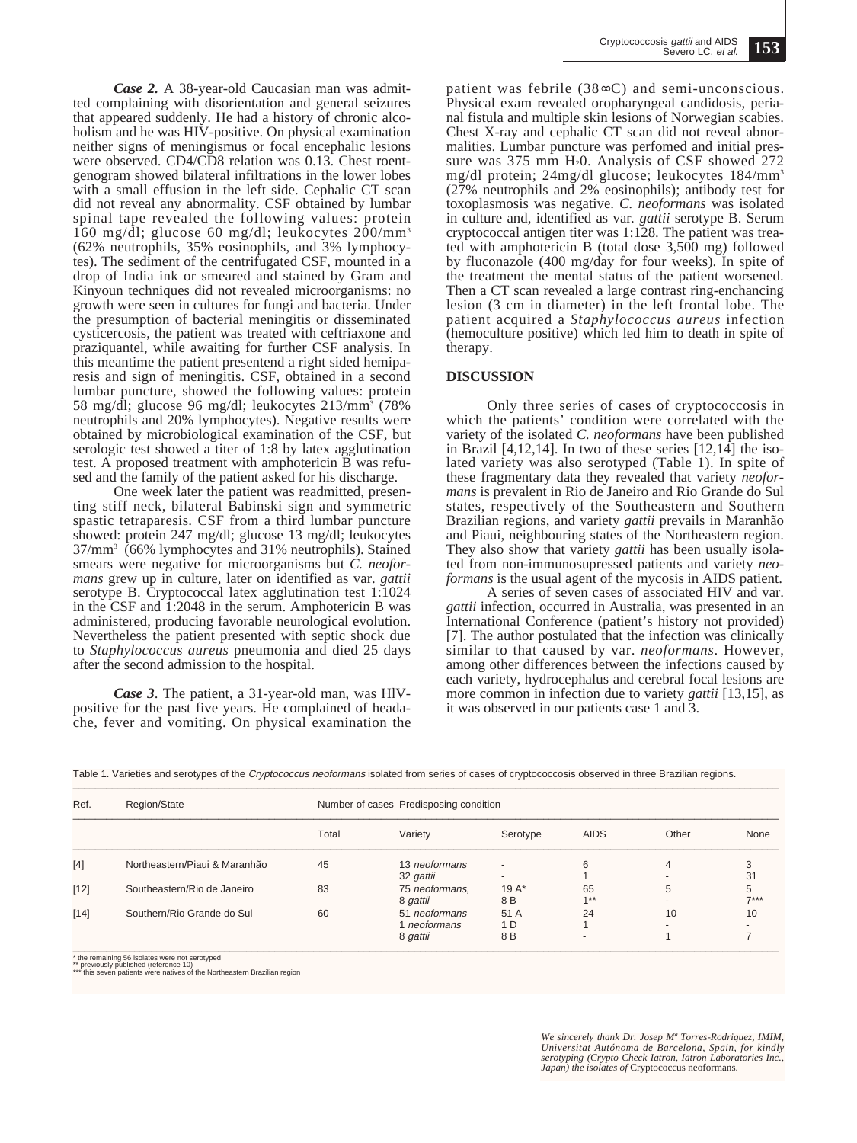*Case 2.* A 38-year-old Caucasian man was admitted complaining with disorientation and general seizures that appeared suddenly. He had a history of chronic alcoholism and he was HIV-positive. On physical examination neither signs of meningismus or focal encephalic lesions were observed. CD4/CD8 relation was 0.13. Chest roentgenogram showed bilateral infiltrations in the lower lobes with a small effusion in the left side. Cephalic CT scan did not reveal any abnormality. CSF obtained by lumbar spinal tape revealed the following values: protein 160 mg/dl; glucose 60 mg/dl; leukocytes  $200/\text{mm}^3$ (62% neutrophils, 35% eosinophils, and 3% lymphocytes). The sediment of the centrifugated CSF, mounted in a drop of India ink or smeared and stained by Gram and Kinyoun techniques did not revealed microorganisms: no growth were seen in cultures for fungi and bacteria. Under the presumption of bacterial meningitis or disseminated cysticercosis, the patient was treated with ceftriaxone and praziquantel, while awaiting for further CSF analysis. In this meantime the patient presentend a right sided hemiparesis and sign of meningitis. CSF, obtained in a second lumbar puncture, showed the following values: protein 58 mg/dl; glucose 96 mg/dl; leukocytes 213/mm3 (78% neutrophils and 20% lymphocytes). Negative results were obtained by microbiological examination of the CSF, but serologic test showed a titer of 1:8 by latex agglutination test. A proposed treatment with amphotericin B was refused and the family of the patient asked for his discharge.

One week later the patient was readmitted, presenting stiff neck, bilateral Babinski sign and symmetric spastic tetraparesis. CSF from a third lumbar puncture showed: protein 247 mg/dl; glucose 13 mg/dl; leukocytes 37/mm3 (66% lymphocytes and 31% neutrophils). Stained smears were negative for microorganisms but *C. neoformans* grew up in culture, later on identified as var. *gattii* serotype B. Cryptococcal latex agglutination test 1:1024 in the CSF and 1:2048 in the serum. Amphotericin B was administered, producing favorable neurological evolution. Nevertheless the patient presented with septic shock due to *Staphylococcus aureus* pneumonia and died 25 days after the second admission to the hospital.

*Case 3*. The patient, a 31-year-old man, was HlVpositive for the past five years. He complained of headache, fever and vomiting. On physical examination the patient was febrile (38∞C) and semi-unconscious. Physical exam revealed oropharyngeal candidosis, perianal fistula and multiple skin lesions of Norwegian scabies. Chest X-ray and cephalic CT scan did not reveal abnormalities. Lumbar puncture was perfomed and initial pressure was 375 mm H<sub>2</sub>0. Analysis of CSF showed 272 mg/dl protein; 24mg/dl glucose; leukocytes 184/mm3 (27% neutrophils and 2% eosinophils); antibody test for toxoplasmosis was negative. *C. neoformans* was isolated in culture and, identified as var*. gattii* serotype B. Serum cryptococcal antigen titer was 1:128. The patient was treated with amphotericin B (total dose 3,500 mg) followed by fluconazole (400 mg/day for four weeks). In spite of the treatment the mental status of the patient worsened. Then a CT scan revealed a large contrast ring-enchancing lesion (3 cm in diameter) in the left frontal lobe. The patient acquired a *Staphylococcus aureus* infection (hemoculture positive) which led him to death in spite of therapy.

## **DISCUSSION**

Only three series of cases of cryptococcosis in which the patients' condition were correlated with the variety of the isolated *C. neoformans* have been published in Brazil [4,12,14]. In two of these series [12,14] the isolated variety was also serotyped (Table 1). In spite of these fragmentary data they revealed that variety *neoformans* is prevalent in Rio de Janeiro and Rio Grande do Sul states, respectively of the Southeastern and Southern Brazilian regions, and variety *gattii* prevails in Maranhão and Piaui, neighbouring states of the Northeastern region. They also show that variety *gattii* has been usually isolated from non-immunosupressed patients and variety *neoformans* is the usual agent of the mycosis in AIDS patient.

A series of seven cases of associated HIV and var. *gattii* infection, occurred in Australia, was presented in an International Conference (patient's history not provided) [7]. The author postulated that the infection was clinically similar to that caused by var. *neoformans*. However, among other differences between the infections caused by each variety, hydrocephalus and cerebral focal lesions are more common in infection due to variety *gattii* [13,15], as it was observed in our patients case 1 and 3.

| Table 1. Varieties and serotypes of the Cryptococcus neoformans isolated from series of cases of cryptococcosis observed in three Brazilian regions. |  |
|------------------------------------------------------------------------------------------------------------------------------------------------------|--|
|                                                                                                                                                      |  |

| Ref.   | Region/State                  | Number of cases Predisposing condition |                                           |                    |                                |       |             |
|--------|-------------------------------|----------------------------------------|-------------------------------------------|--------------------|--------------------------------|-------|-------------|
|        |                               | Total                                  | Variety                                   | Serotype           | <b>AIDS</b>                    | Other | None        |
| $[4]$  | Northeastern/Piaui & Maranhão | 45                                     | 13 neoformans<br>32 gattii                | $\overline{a}$     | 6                              | 4     | 31          |
| $[12]$ | Southeastern/Rio de Janeiro   | 83                                     | 75 neoformans,<br>8 gattii                | 19 $A^*$<br>8 B    | 65<br>$4 * *$                  | 5     | 5<br>$7***$ |
| $[14]$ | Southern/Rio Grande do Sul    | 60                                     | 51 neoformans<br>1 neoformans<br>8 gattii | 51 A<br>1 D<br>8 B | 24<br>$\overline{\phantom{a}}$ | 10    | 10          |

\* the remaining 56 isolates were not serotyped<br>\*\* previously published (reference 10)<br>\*\*\* this seven patients were natives of the Northeastern Brazilian region